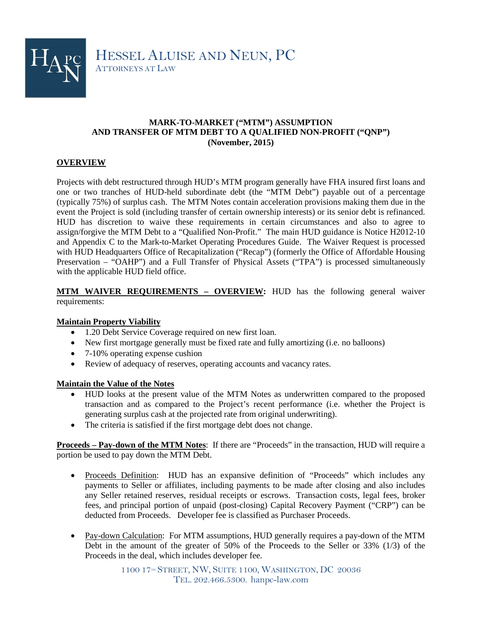

## **MARK-TO-MARKET ("MTM") ASSUMPTION AND TRANSFER OF MTM DEBT TO A QUALIFIED NON-PROFIT ("QNP") (November, 2015)**

## **OVERVIEW**

Projects with debt restructured through HUD's MTM program generally have FHA insured first loans and one or two tranches of HUD-held subordinate debt (the "MTM Debt") payable out of a percentage (typically 75%) of surplus cash. The MTM Notes contain acceleration provisions making them due in the event the Project is sold (including transfer of certain ownership interests) or its senior debt is refinanced. HUD has discretion to waive these requirements in certain circumstances and also to agree to assign/forgive the MTM Debt to a "Qualified Non-Profit." The main HUD guidance is Notice H2012-10 and Appendix C to the Mark-to-Market Operating Procedures Guide. The Waiver Request is processed with HUD Headquarters Office of Recapitalization ("Recap") (formerly the Office of Affordable Housing Preservation – "OAHP") and a Full Transfer of Physical Assets ("TPA") is processed simultaneously with the applicable HUD field office.

**MTM WAIVER REQUIREMENTS – OVERVIEW:** HUD has the following general waiver requirements:

## **Maintain Property Viability**

- 1.20 Debt Service Coverage required on new first loan.
- New first mortgage generally must be fixed rate and fully amortizing (i.e. no balloons)
- 7-10% operating expense cushion
- Review of adequacy of reserves, operating accounts and vacancy rates.

#### **Maintain the Value of the Notes**

- HUD looks at the present value of the MTM Notes as underwritten compared to the proposed transaction and as compared to the Project's recent performance (i.e. whether the Project is generating surplus cash at the projected rate from original underwriting).
- The criteria is satisfied if the first mortgage debt does not change.

**Proceeds – Pay-down of the MTM Notes**: If there are "Proceeds" in the transaction, HUD will require a portion be used to pay down the MTM Debt.

- Proceeds Definition: HUD has an expansive definition of "Proceeds" which includes any payments to Seller or affiliates, including payments to be made after closing and also includes any Seller retained reserves, residual receipts or escrows. Transaction costs, legal fees, broker fees, and principal portion of unpaid (post-closing) Capital Recovery Payment ("CRP") can be deducted from Proceeds. Developer fee is classified as Purchaser Proceeds.
- Pay-down Calculation: For MTM assumptions, HUD generally requires a pay-down of the MTM Debt in the amount of the greater of 50% of the Proceeds to the Seller or 33% (1/3) of the Proceeds in the deal, which includes developer fee.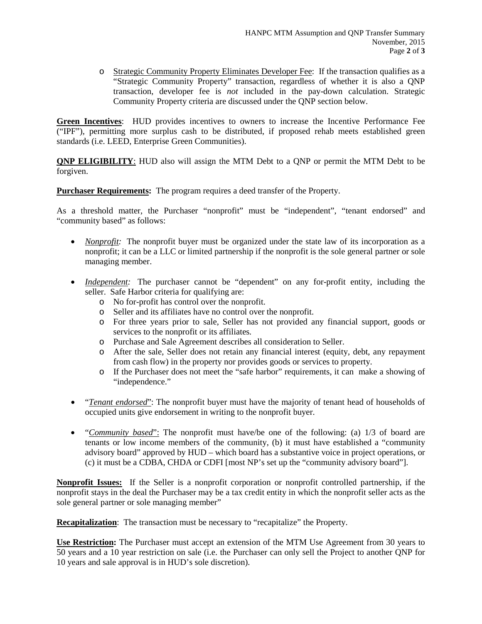o Strategic Community Property Eliminates Developer Fee: If the transaction qualifies as a "Strategic Community Property" transaction, regardless of whether it is also a QNP transaction, developer fee is *not* included in the pay-down calculation. Strategic Community Property criteria are discussed under the QNP section below.

**Green Incentives**: HUD provides incentives to owners to increase the Incentive Performance Fee ("IPF"), permitting more surplus cash to be distributed, if proposed rehab meets established green standards (i.e. LEED, Enterprise Green Communities).

**ONP ELIGIBILITY:** HUD also will assign the MTM Debt to a ONP or permit the MTM Debt to be forgiven.

**Purchaser Requirements:** The program requires a deed transfer of the Property.

As a threshold matter, the Purchaser "nonprofit" must be "independent", "tenant endorsed" and "community based" as follows:

- *Nonprofit:* The nonprofit buyer must be organized under the state law of its incorporation as a nonprofit; it can be a LLC or limited partnership if the nonprofit is the sole general partner or sole managing member.
- *Independent:* The purchaser cannot be "dependent" on any for-profit entity, including the seller. Safe Harbor criteria for qualifying are:
	- o No for-profit has control over the nonprofit.
	- o Seller and its affiliates have no control over the nonprofit.
	- o For three years prior to sale, Seller has not provided any financial support, goods or services to the nonprofit or its affiliates*.*
	- o Purchase and Sale Agreement describes all consideration to Seller.
	- o After the sale, Seller does not retain any financial interest (equity, debt, any repayment from cash flow) in the property nor provides goods or services to property.
	- o If the Purchaser does not meet the "safe harbor" requirements, it can make a showing of "independence."
- "*Tenant endorsed*": The nonprofit buyer must have the majority of tenant head of households of occupied units give endorsement in writing to the nonprofit buyer.
- "*Community based*": The nonprofit must have/be one of the following: (a) 1/3 of board are tenants or low income members of the community, (b) it must have established a "community advisory board" approved by HUD – which board has a substantive voice in project operations, or (c) it must be a CDBA, CHDA or CDFI [most NP's set up the "community advisory board"].

**Nonprofit Issues:** If the Seller is a nonprofit corporation or nonprofit controlled partnership, if the nonprofit stays in the deal the Purchaser may be a tax credit entity in which the nonprofit seller acts as the sole general partner or sole managing member"

**Recapitalization:** The transaction must be necessary to "recapitalize" the Property.

**Use Restriction:** The Purchaser must accept an extension of the MTM Use Agreement from 30 years to 50 years and a 10 year restriction on sale (i.e. the Purchaser can only sell the Project to another QNP for 10 years and sale approval is in HUD's sole discretion).